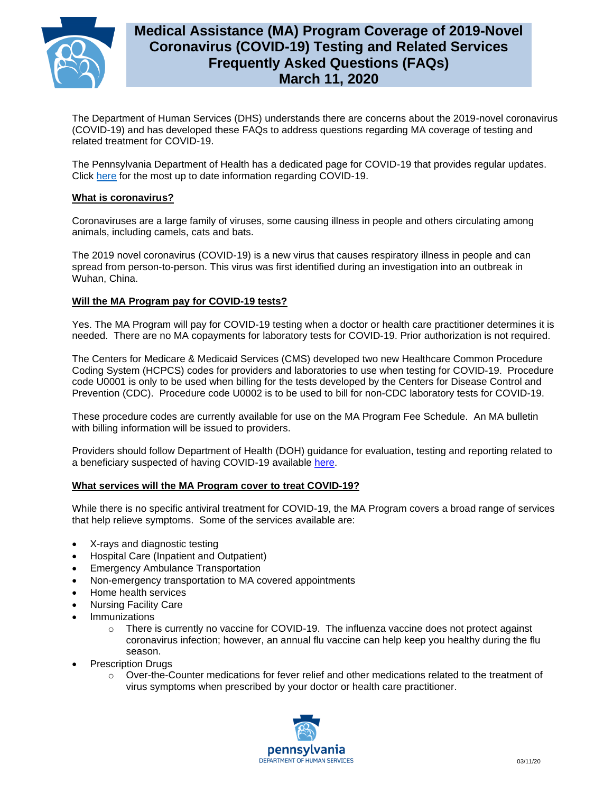

# **Medical Assistance (MA) Program Coverage of 2019-Novel Coronavirus (COVID-19) Testing and Related Services Frequently Asked Questions (FAQs) March 11, 2020**

The Department of Human Services (DHS) understands there are concerns about the 2019-novel coronavirus (COVID-19) and has developed these FAQs to address questions regarding MA coverage of testing and related treatment for COVID-19.

The Pennsylvania Department of Health has a dedicated page for COVID-19 that provides regular updates. Click [here](https://www.health.pa.gov/topics/disease/Pages/Coronavirus.aspx) for the most up to date information regarding COVID-19.

## **What is coronavirus?**

Coronaviruses are a large family of viruses, some causing illness in people and others circulating among animals, including camels, cats and bats.

The 2019 novel coronavirus (COVID-19) is a new virus that causes respiratory illness in people and can spread from person-to-person. This virus was first identified during an investigation into an outbreak in Wuhan, China.

## **Will the MA Program pay for COVID-19 tests?**

Yes. The MA Program will pay for COVID-19 testing when a doctor or health care practitioner determines it is needed. There are no MA copayments for laboratory tests for COVID-19. Prior authorization is not required.

The Centers for Medicare & Medicaid Services (CMS) developed two new Healthcare Common Procedure Coding System (HCPCS) codes for providers and laboratories to use when testing for COVID-19. Procedure code U0001 is only to be used when billing for the tests developed by the Centers for Disease Control and Prevention (CDC). Procedure code U0002 is to be used to bill for non-CDC laboratory tests for COVID-19.

These procedure codes are currently available for use on the MA Program Fee Schedule. An MA bulletin with billing information will be issued to providers.

Providers should follow Department of Health (DOH) guidance for evaluation, testing and reporting related to a beneficiary suspected of having COVID-19 available [here.](https://www.health.pa.gov/topics/disease/Pages/Coronavirus.aspx)

### **What services will the MA Program cover to treat COVID-19?**

While there is no specific antiviral treatment for COVID-19, the MA Program covers a broad range of services that help relieve symptoms. Some of the services available are:

- X-rays and diagnostic testing
- Hospital Care (Inpatient and Outpatient)
- Emergency Ambulance Transportation
- Non-emergency transportation to MA covered appointments
- Home health services
- Nursing Facility Care
- **Immunizations** 
	- $\circ$  There is currently no vaccine for COVID-19. The influenza vaccine does not protect against coronavirus infection; however, an annual flu vaccine can help keep you healthy during the flu season.
- Prescription Drugs
	- $\circ$  Over-the-Counter medications for fever relief and other medications related to the treatment of virus symptoms when prescribed by your doctor or health care practitioner.

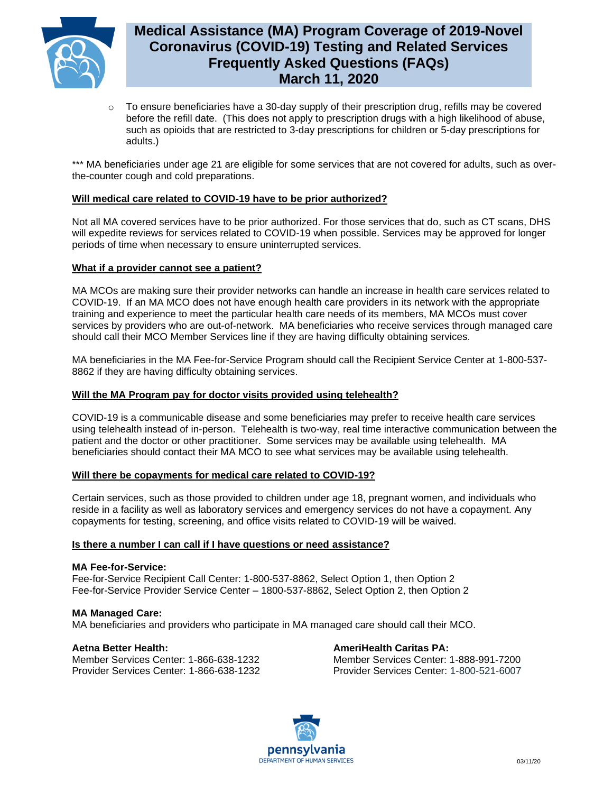

# **Medical Assistance (MA) Program Coverage of 2019-Novel Coronavirus (COVID-19) Testing and Related Services Frequently Asked Questions (FAQs) March 11, 2020**

 $\circ$  To ensure beneficiaries have a 30-day supply of their prescription drug, refills may be covered before the refill date. (This does not apply to prescription drugs with a high likelihood of abuse, such as opioids that are restricted to 3-day prescriptions for children or 5-day prescriptions for adults.)

\*\*\* MA beneficiaries under age 21 are eligible for some services that are not covered for adults, such as overthe-counter cough and cold preparations.

## **Will medical care related to COVID-19 have to be prior authorized?**

Not all MA covered services have to be prior authorized. For those services that do, such as CT scans, DHS will expedite reviews for services related to COVID-19 when possible. Services may be approved for longer periods of time when necessary to ensure uninterrupted services.

## **What if a provider cannot see a patient?**

MA MCOs are making sure their provider networks can handle an increase in health care services related to COVID-19. If an MA MCO does not have enough health care providers in its network with the appropriate training and experience to meet the particular health care needs of its members, MA MCOs must cover services by providers who are out-of-network. MA beneficiaries who receive services through managed care should call their MCO Member Services line if they are having difficulty obtaining services.

MA beneficiaries in the MA Fee-for-Service Program should call the Recipient Service Center at 1-800-537- 8862 if they are having difficulty obtaining services.

## **Will the MA Program pay for doctor visits provided using telehealth?**

COVID-19 is a communicable disease and some beneficiaries may prefer to receive health care services using telehealth instead of in-person. Telehealth is two-way, real time interactive communication between the patient and the doctor or other practitioner. Some services may be available using telehealth. MA beneficiaries should contact their MA MCO to see what services may be available using telehealth.

### **Will there be copayments for medical care related to COVID-19?**

Certain services, such as those provided to children under age 18, pregnant women, and individuals who reside in a facility as well as laboratory services and emergency services do not have a copayment. Any copayments for testing, screening, and office visits related to COVID-19 will be waived.

### **Is there a number I can call if I have questions or need assistance?**

### **MA Fee-for-Service:**

Fee-for-Service Recipient Call Center: 1-800-537-8862, Select Option 1, then Option 2 Fee-for-Service Provider Service Center – 1800-537-8862, Select Option 2, then Option 2

**MA Managed Care:** MA beneficiaries and providers who participate in MA managed care should call their MCO.

### **Aetna Better Health:**

Member Services Center: 1-866-638-1232 Provider Services Center: 1-866-638-1232 **AmeriHealth Caritas PA:**  Member Services Center: 1-888-991-7200 Provider Services Center: 1-800-521-6007